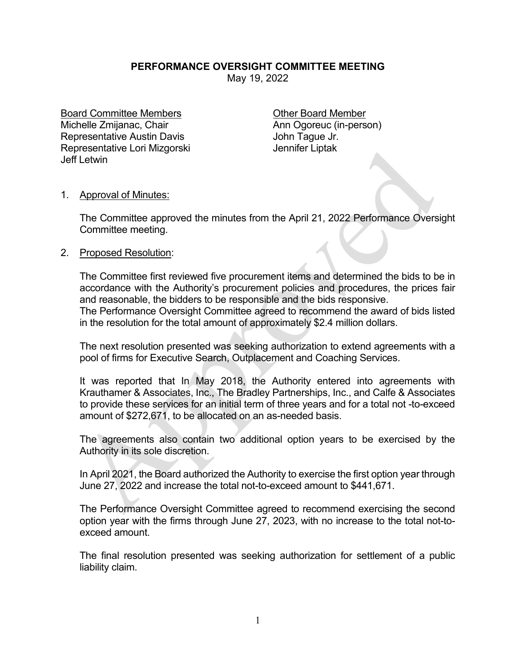## **PERFORMANCE OVERSIGHT COMMITTEE MEETING**

May 19, 2022

Board Committee Members **Committee Members** Committee Member Michelle Zmijanac, Chair **Ann Ogoreuc (in-person)** Representative Austin Davis **Francisco Exercise Serverse John Tague Jr.** Representative Lori Mizgorski Manuel Bennifer Liptak Jeff Letwin

## 1. Approval of Minutes:

The Committee approved the minutes from the April 21, 2022 Performance Oversight Committee meeting.

## 2. Proposed Resolution:

The Committee first reviewed five procurement items and determined the bids to be in accordance with the Authority's procurement policies and procedures, the prices fair and reasonable, the bidders to be responsible and the bids responsive. The Performance Oversight Committee agreed to recommend the award of bids listed in the resolution for the total amount of approximately \$2.4 million dollars.

The next resolution presented was seeking authorization to extend agreements with a pool of firms for Executive Search, Outplacement and Coaching Services.

It was reported that In May 2018, the Authority entered into agreements with Krauthamer & Associates, Inc., The Bradley Partnerships, Inc., and Calfe & Associates to provide these services for an initial term of three years and for a total not -to-exceed amount of \$272,671, to be allocated on an as-needed basis.

The agreements also contain two additional option years to be exercised by the Authority in its sole discretion.

In April 2021, the Board authorized the Authority to exercise the first option year through June 27, 2022 and increase the total not-to-exceed amount to \$441,671.

The Performance Oversight Committee agreed to recommend exercising the second option year with the firms through June 27, 2023, with no increase to the total not-toexceed amount.

The final resolution presented was seeking authorization for settlement of a public liability claim.